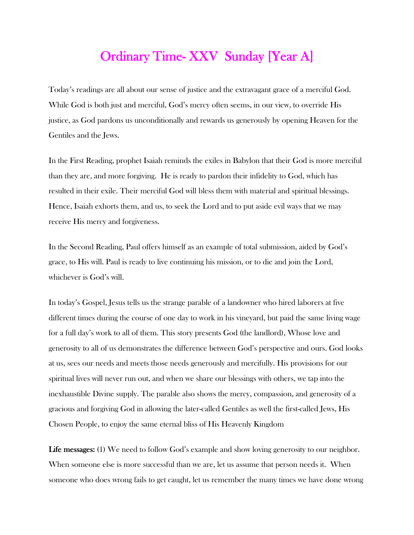## Ordinary Time- XXV Sunday [Year A]

Today's readings are all about our sense of justice and the extravagant grace of a merciful God. While God is both just and merciful, God's mercy often seems, in our view, to override His justice, as God pardons us unconditionally and rewards us generously by opening Heaven for the Gentiles and the Jews.

In the First Reading, prophet Isaiah reminds the exiles in Babylon that their God is more merciful than they are, and more forgiving. He is ready to pardon their infidelity to God, which has resulted in their exile. Their merciful God will bless them with material and spiritual blessings. Hence, Isaiah exhorts them, and us, to seek the Lord and to put aside evil ways that we may receive His mercy and forgiveness.

In the Second Reading, Paul offers himself as an example of total submission, aided by God's grace, to His will. Paul is ready to live continuing his mission, or to die and join the Lord, whichever is God's will.

In today's Gospel, Jesus tells us the strange parable of a landowner who hired laborers at five different times during the course of one day to work in his vineyard, but paid the same living wage for a full day's work to all of them. This story presents God (the landlord), Whose love and generosity to all of us demonstrates the difference between God's perspective and ours. God looks at us, sees our needs and meets those needs generously and mercifully. His provisions for our spiritual lives will never run out, and when we share our blessings with others, we tap into the inexhaustible Divine supply. The parable also shows the mercy, compassion, and generosity of a gracious and forgiving God in allowing the later-called Gentiles as well the first-called Jews, His Chosen People, to enjoy the same eternal bliss of His Heavenly Kingdom

Life messages: (1) We need to follow God's example and show loving generosity to our neighbor. When someone else is more successful than we are, let us assume that person needs it. When someone who does wrong fails to get caught, let us remember the many times we have done wrong